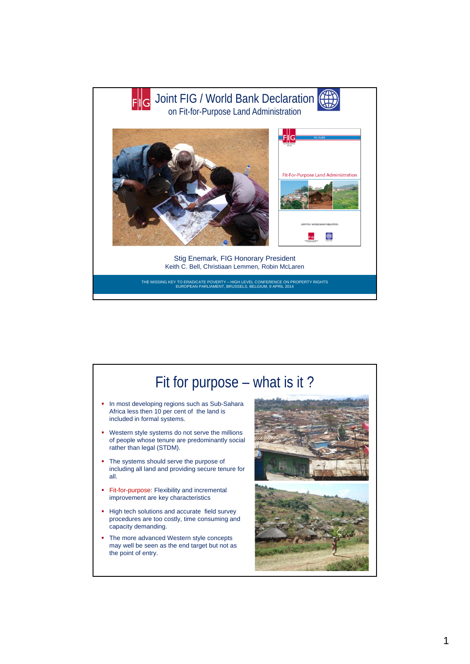

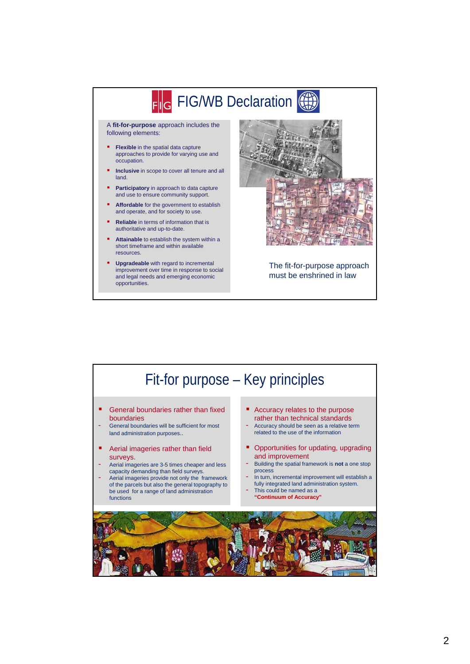

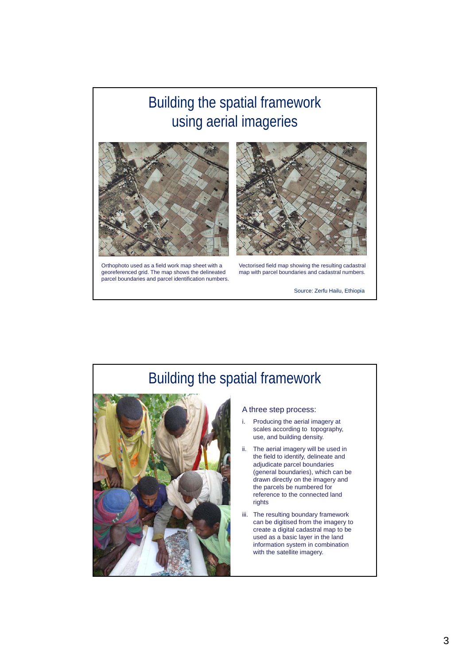## Building the spatial framework using aerial imageries



Orthophoto used as a field work map sheet with a georeferenced grid. The map shows the delineated parcel boundaries and parcel identification numbers.



Vectorised field map showing the resulting cadastral map with parcel boundaries and cadastral numbers.

Source: Zerfu Hailu, Ethiopia

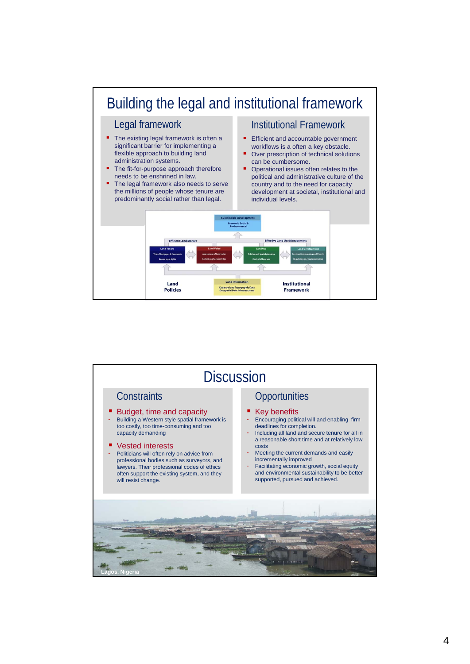